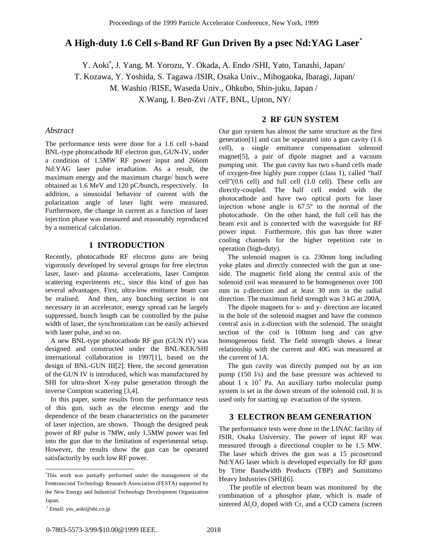# **A High-duty 1.6 Cell s-Band RF Gun Driven By a psec Nd:YAG Laser\***

Y. Aoki<sup>#</sup>, J. Yang, M. Yorozu, Y. Okada, A. Endo /SHI, Yato, Tanashi, Japan/ T. Kozawa, Y. Yoshida, S. Tagawa /ISIR, Osaka Univ., Mihogaoka, Ibaragi, Japan/ M. Washio /RISE, Waseda Univ., Ohkubo, Shin-juku, Japan / X.Wang, I. Ben-Zvi /ATF, BNL, Upton, NY/

## *Abstract*

The performance tests were done for a 1.6 cell s-band BNL-type photocathode RF electron gun, GUN-IV, under a condition of 1.5MW RF power input and 266nm Nd:YAG laser pulse irradiation. As a result, the maximum energy and the maximum charge/ bunch were obtained as 1.6 MeV and 120 pC/bunch, respectively. In addition, a sinusoidal behavior of current with the polarization angle of laser light were measured. Furthermore, the change in current as a function of laser injection phase was measured and reasonably reproduced by a numerical calculation.

# **1 INTRODUCTION**

Recently, photocathode RF electron guns are being vigorously developed by several groups for free electron laser, laser- and plasma- accelerations, laser Compton scattering experiments etc., since this kind of gun has several advantages. First, ultra-low emittance beam can be realised. And then, any bunching section is not necessary in an accelerator, energy spread can be largely suppressed, bunch length can be controlled by the pulse width of laser, the synchronization can be easily achieved with laser pulse, and so on.

 A new BNL-type photocathode RF gun (GUN IV) was designed and constructed under the BNL/KEK/SHI international collaboration in 1997[1], based on the design of BNL-GUN III[2]. Here, the second generation of the GUN IV is introduced, which was manufactured by SHI for ultra-short X-ray pulse generation through the inverse Compton scattering [3,4].

 In this paper, some results from the performance tests of this gun, such as the electron energy and the dependence of the beam characteristics on the parameter of laser injection, are shown. Though the designed peak power of RF pulse is 7MW, only 1.5MW power was fed into the gun due to the limitation of experimental setup. However, the results show the gun can be operated satisfactorily by such low RF power.

 $\overline{a}$ 

# **2 RF GUN SYSTEM**

Our gun system has almost the same structure as the first generation[1] and can be separated into a gun cavity (1.6 cell), a single emittance compensation solenoid magnet[5], a pair of dipole magnet and a vacuum pumping unit. The gun cavity has two s-band cells made of oxygen-free highly pure copper (class 1), called "half cell"(0.6 cell) and full cell (1.0 cell). These cells are directly-coupled. The half cell ended with the photocathode and have two optical ports for laser injection whose angle is 67.5° to the normal of the photocathode. On the other hand, the full cell has the beam exit and is connected with the waveguide for RF power input. Furthermore, this gun has three water cooling channels for the higher repetition rate in operation (high-duty).

 The solenoid magnet is ca. 230mm long including yoke plates and directly connected with the gun at oneside. The magnetic field along the central axis of the solenoid coil was measured to be homogeneous over 100 mm in z-direction and at least 30 mm in the radial direction. The maximum field strength was 3 kG at 200A.

 The dipole magnets for x- and y- direction are located in the hole of the solenoid magnet and have the common central axis in z-direction with the solenoid. The straight section of the coil is 100mm long and can give homogeneous field. The field strength shows a linear relationship with the current and 40G was measured at the current of 1A.

 The gun cavity was directly pumped out by an ion pump (150 l/s) and the base pressure was achieved to about 1 x  $10<sup>6</sup>$  Pa. An auxiliary turbo molecular pump system is set in the down stream of the solenoid coil. It is used only for starting up evacuation of the system.

# **3 ELECTRON BEAM GENERATION**

The performance tests were done in the LINAC facility of ISIR, Osaka University. The power of input RF was measured through a directional coupler to be 1.5 MW. The laser which drives the gun was a 15 picosecond Nd:YAG laser which is developed especially for RF guns by Time Bandwidth Products (TBP) and Sumitomo Heavy Industries (SHI)[6].

 The profile of electron beam was monitored by the combination of a phosphor plate, which is made of sintered Al<sub>2</sub>O<sub>3</sub> doped with Cr, and a CCD camera (screen

<sup>\*</sup> This work was partially performed under the management of the Femtosecond Technology Research Association (FESTA) supported by the New Energy and Industrial Technology Development Organization Japan.

 <sup>#</sup> Email: yss\_aoki@shi.co.jp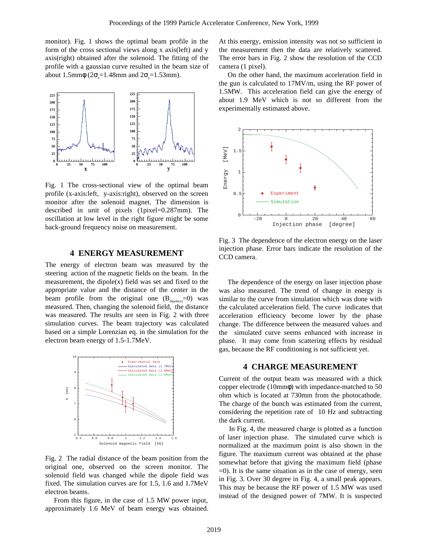monitor). Fig. 1 shows the optimal beam profile in the form of the cross sectional views along x axis(left) and y axis(right) obtained after the solenoid. The fitting of the profile with a gaussian curve resulted in the beam size of about 1.5mm $\phi$  (2 $\sigma$ =1.48mm and 2 $\sigma$ =1.53mm).



Fig. 1 The cross-sectional view of the optimal beam profile (x-axis:left, y-axis:right), observed on the screen monitor after the solenoid magnet. The dimension is described in unit of pixels (1pixel=0.287mm). The oscillation at low level in the right figure might be some back-ground frequency noise on measurement.

# **4 ENERGY MEASUREMENT**

The energy of electron beam was measured by the steering action of the magnetic fields on the beam. In the measurement, the dipole $(x)$  field was set and fixed to the appropriate value and the distance of the center in the beam profile from the original one  $(B_{divole(x)}=0)$  was measured. Then, changing the solenoid field, the distance was measured. The results are seen in Fig. 2 with three simulation curves. The beam trajectory was calculated based on a simple Lorenzian eq. in the simulation for the electron beam energy of 1.5-1.7MeV.



Fig. 2 The radial distance of the beam position from the original one, observed on the screen monitor. The solenoid field was changed while the dipole field was fixed. The simulation curves are for 1.5, 1.6 and 1.7MeV electron beams.

 From this figure, in the case of 1.5 MW power input, approximately 1.6 MeV of beam energy was obtained. At this energy, emission intensity was not so sufficient in the measurement then the data are relatively scattered. The error bars in Fig. 2 show the resolution of the CCD camera (1 pixel).

 On the other hand, the maximum acceleration field in the gun is calculated to 17MV/m, using the RF power of 1.5MW. This acceleration field can give the energy of about 1.9 MeV which is not so different from the experimentally estimated above.



Fig. 3 The dependence of the electron energy on the laser injection phase. Error bars indicate the resolution of the CCD camera.

 The dependence of the energy on laser injection phase was also measured. The trend of change in energy is similar to the curve from simulation which was done with the calculated acceleration field. The curve indicates that acceleration efficiency become lower by the phase change. The difference between the measured values and the simulated curve seems enhanced with increase in phase. It may come from scattering effects by residual gas, because the RF conditioning is not sufficient yet.

#### **4 CHARGE MEASUREMENT**

Current of the output beam was measured with a thick copper electrode (10mmφ) with impedance-matched to 50 ohm which is located at 730mm from the photocathode. The charge of the bunch was estimated from the current, considering the repetition rate of 10 Hz and subtracting the dark current.

 In Fig. 4, the measured charge is plotted as a function of laser injection phase. The simulated curve which is normalized at the maximum point is also shown in the figure. The maximum current was obtained at the phase somewhat before that giving the maximum field (phase  $=0$ ). It is the same situation as in the case of energy, seen in Fig. 3. Over 30 degree in Fig. 4, a small peak appears. This may be because the RF power of 1.5 MW was used instead of the designed power of 7MW. It is suspected